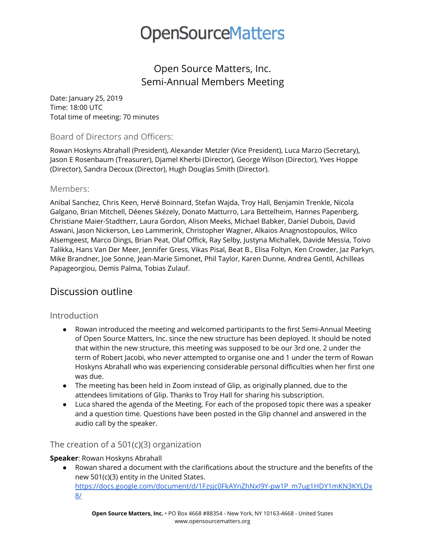## **OpenSourceMatters**

### Open Source Matters, Inc. Semi-Annual Members Meeting

Date: January 25, 2019 Time: 18:00 UTC Total time of meeting: 70 minutes

#### Board of Directors and Officers:

Rowan Hoskyns Abrahall (President), Alexander Metzler (Vice President), Luca Marzo (Secretary), Jason E Rosenbaum (Treasurer), Djamel Kherbi (Director), George Wilson (Director), Yves Hoppe (Director), Sandra Decoux (Director), Hugh Douglas Smith (Director).

#### Members:

Anibal Sanchez, Chris Keen, Hervé Boinnard, Stefan Wajda, Troy Hall, Benjamin Trenkle, Nicola Galgano, Brian Mitchell, Déenes Skézely, Donato Matturro, Lara Bettelheim, Hannes Papenberg, Christiane Maier-Stadtherr, Laura Gordon, Alison Meeks, Michael Babker, Daniel Dubois, David Aswani, Jason Nickerson, Leo Lammerink, Christopher Wagner, Alkaios Anagnostopoulos, Wilco Alsemgeest, Marco Dings, Brian Peat, Olaf Offick, Ray Selby, Justyna Michallek, Davide Messia, Toivo Talikka, Hans Van Der Meer, Jennifer Gress, Vikas Pisal, Beat B., Elisa Foltyn, Ken Crowder, Jaz Parkyn, Mike Brandner, Joe Sonne, Jean-Marie Simonet, Phil Taylor, Karen Dunne, Andrea Gentil, Achilleas Papageorgiou, Demis Palma, Tobias Zulauf.

### Discussion outline

#### Introduction

- Rowan introduced the meeting and welcomed participants to the first Semi-Annual Meeting of Open Source Matters, Inc. since the new structure has been deployed. It should be noted that within the new structure, this meeting was supposed to be our 3rd one. 2 under the term of Robert Jacobi, who never attempted to organise one and 1 under the term of Rowan Hoskyns Abrahall who was experiencing considerable personal difficulties when her first one was due.
- The meeting has been held in Zoom instead of Glip, as originally planned, due to the attendees limitations of Glip. Thanks to Troy Hall for sharing his subscription.
- Luca shared the agenda of the Meeting. For each of the proposed topic there was a speaker and a question time. Questions have been posted in the Glip channel and answered in the audio call by the speaker.

#### The creation of a 501(c)(3) organization

#### **Speaker**: Rowan Hoskyns Abrahall

● Rowan shared a document with the clarifications about the structure and the benefits of the new 501(c)(3) entity in the United States. [https://docs.google.com/document/d/1Fzsjc0FkAYnZhNxI9Y-pw1P\\_m7ug1HDY1mKN3KYLDx](https://docs.google.com/document/d/1Fzsjc0FkAYnZhNxI9Y-pw1P_m7ug1HDY1mKN3KYLDx8/) [8/](https://docs.google.com/document/d/1Fzsjc0FkAYnZhNxI9Y-pw1P_m7ug1HDY1mKN3KYLDx8/)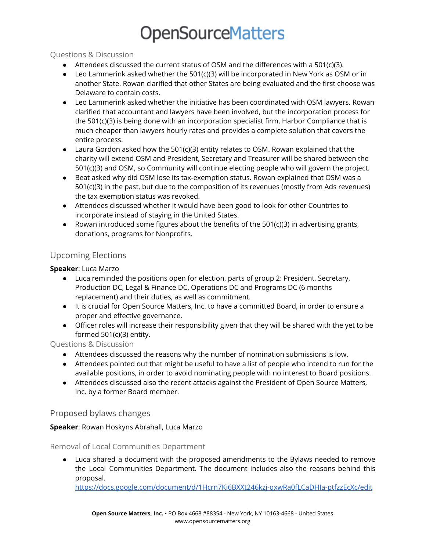# **OpenSourceMatters**

#### Questions & Discussion

- Attendees discussed the current status of OSM and the differences with a 501(c)(3).
- $\bullet$  Leo Lammerink asked whether the 501(c)(3) will be incorporated in New York as OSM or in another State. Rowan clarified that other States are being evaluated and the first choose was Delaware to contain costs.
- Leo Lammerink asked whether the initiative has been coordinated with OSM lawyers. Rowan clarified that accountant and lawyers have been involved, but the incorporation process for the 501(c)(3) is being done with an incorporation specialist firm, Harbor Compliance that is much cheaper than lawyers hourly rates and provides a complete solution that covers the entire process.
- Laura Gordon asked how the 501(c)(3) entity relates to OSM. Rowan explained that the charity will extend OSM and President, Secretary and Treasurer will be shared between the 501(c)(3) and OSM, so Community will continue electing people who will govern the project.
- Beat asked why did OSM lose its tax-exemption status. Rowan explained that OSM was a 501(c)(3) in the past, but due to the composition of its revenues (mostly from Ads revenues) the tax exemption status was revoked.
- Attendees discussed whether it would have been good to look for other Countries to incorporate instead of staying in the United States.
- Rowan introduced some figures about the benefits of the  $501(c)(3)$  in advertising grants, donations, programs for Nonprofits.

### Upcoming Elections

#### **Speaker**: Luca Marzo

- Luca reminded the positions open for election, parts of group 2: President, Secretary, Production DC, Legal & Finance DC, Operations DC and Programs DC (6 months replacement) and their duties, as well as commitment.
- It is crucial for Open Source Matters, Inc. to have a committed Board, in order to ensure a proper and effective governance.
- Officer roles will increase their responsibility given that they will be shared with the yet to be formed 501(c)(3) entity.

#### Questions & Discussion

- Attendees discussed the reasons why the number of nomination submissions is low.
- Attendees pointed out that might be useful to have a list of people who intend to run for the available positions, in order to avoid nominating people with no interest to Board positions.
- Attendees discussed also the recent attacks against the President of Open Source Matters, Inc. by a former Board member.

#### Proposed bylaws changes

#### **Speaker**: Rowan Hoskyns Abrahall, Luca Marzo

#### Removal of Local Communities Department

● Luca shared a document with the proposed amendments to the Bylaws needed to remove the Local Communities Department. The document includes also the reasons behind this proposal.

<https://docs.google.com/document/d/1Hcrn7Ki6BXXt246kzj-qxwRa0fLCaDHIa-ptfzzEcXc/edit>